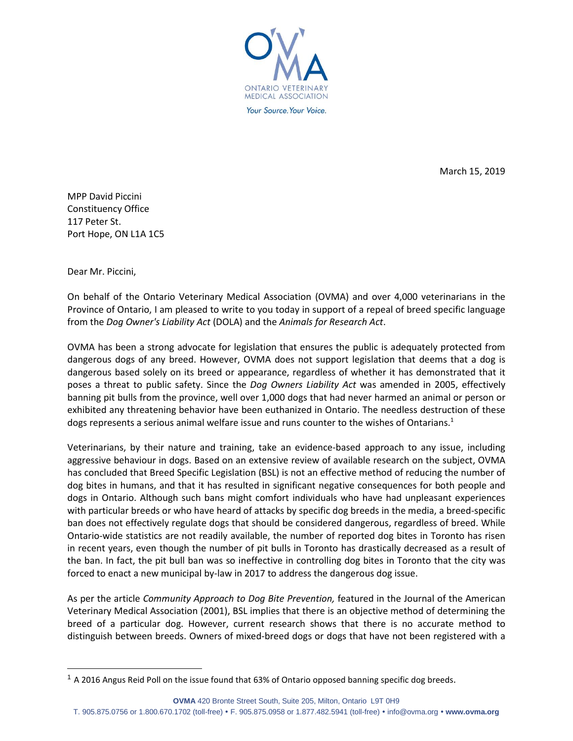

March 15, 2019

MPP David Piccini Constituency Office 117 Peter St. Port Hope, ON L1A 1C5

Dear Mr. Piccini,

On behalf of the Ontario Veterinary Medical Association (OVMA) and over 4,000 veterinarians in the Province of Ontario, I am pleased to write to you today in support of a repeal of breed specific language from the *Dog Owner's Liability Act* (DOLA) and the *Animals for Research Act*.

OVMA has been a strong advocate for legislation that ensures the public is adequately protected from dangerous dogs of any breed. However, OVMA does not support legislation that deems that a dog is dangerous based solely on its breed or appearance, regardless of whether it has demonstrated that it poses a threat to public safety. Since the *Dog Owners Liability Act* was amended in 2005, effectively banning pit bulls from the province, well over 1,000 dogs that had never harmed an animal or person or exhibited any threatening behavior have been euthanized in Ontario. The needless destruction of these dogs represents a serious animal welfare issue and runs counter to the wishes of Ontarians. $1$ 

Veterinarians, by their nature and training, take an evidence-based approach to any issue, including aggressive behaviour in dogs. Based on an extensive review of available research on the subject, OVMA has concluded that Breed Specific Legislation (BSL) is not an effective method of reducing the number of dog bites in humans, and that it has resulted in significant negative consequences for both people and dogs in Ontario. Although such bans might comfort individuals who have had unpleasant experiences with particular breeds or who have heard of attacks by specific dog breeds in the media, a breed-specific ban does not effectively regulate dogs that should be considered dangerous, regardless of breed. While Ontario-wide statistics are not readily available, the number of reported dog bites in Toronto has risen in recent years, even though the number of pit bulls in Toronto has drastically decreased as a result of the ban. In fact, the pit bull ban was so ineffective in controlling dog bites in Toronto that the city was forced to enact a new municipal by-law in 2017 to address the dangerous dog issue.

As per the article *Community Approach to Dog Bite Prevention,* featured in the Journal of the American Veterinary Medical Association (2001), BSL implies that there is an objective method of determining the breed of a particular dog. However, current research shows that there is no accurate method to distinguish between breeds. Owners of mixed-breed dogs or dogs that have not been registered with a

**OVMA** 420 Bronte Street South, Suite 205, Milton, Ontario L9T 0H9 T. 905.875.0756 or 1.800.670.1702 (toll-free) F. 905.875.0958 or 1.877.482.5941 (toll-free) [info@ovma.org](mailto:info@ovma.org) **www.ovma.org**

 $1$  A 2016 Angus Reid Poll on the issue found that 63% of Ontario opposed banning specific dog breeds.